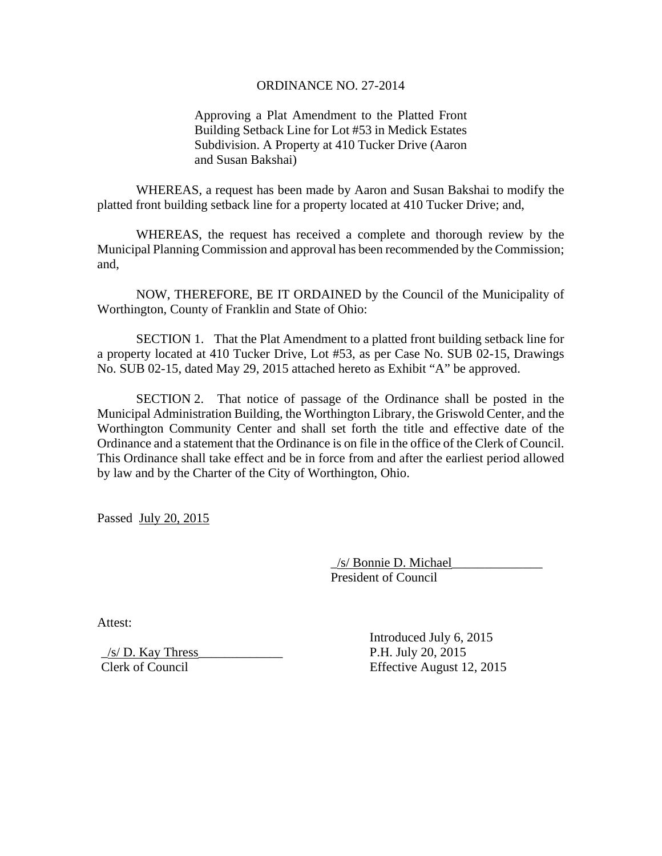## ORDINANCE NO. 27-2014

Approving a Plat Amendment to the Platted Front Building Setback Line for Lot #53 in Medick Estates Subdivision. A Property at 410 Tucker Drive (Aaron and Susan Bakshai)

 WHEREAS, a request has been made by Aaron and Susan Bakshai to modify the platted front building setback line for a property located at 410 Tucker Drive; and,

 WHEREAS, the request has received a complete and thorough review by the Municipal Planning Commission and approval has been recommended by the Commission; and,

 NOW, THEREFORE, BE IT ORDAINED by the Council of the Municipality of Worthington, County of Franklin and State of Ohio:

 SECTION 1. That the Plat Amendment to a platted front building setback line for a property located at 410 Tucker Drive, Lot #53, as per Case No. SUB 02-15, Drawings No. SUB 02-15, dated May 29, 2015 attached hereto as Exhibit "A" be approved.

 SECTION 2. That notice of passage of the Ordinance shall be posted in the Municipal Administration Building, the Worthington Library, the Griswold Center, and the Worthington Community Center and shall set forth the title and effective date of the Ordinance and a statement that the Ordinance is on file in the office of the Clerk of Council. This Ordinance shall take effect and be in force from and after the earliest period allowed by law and by the Charter of the City of Worthington, Ohio.

Passed July 20, 2015

 \_/s/ Bonnie D. Michael\_\_\_\_\_\_\_\_\_\_\_\_\_\_ President of Council

Attest:

 $/s/D$ . Kay Thress P.H. July 20, 2015

 Introduced July 6, 2015 Clerk of Council Effective August 12, 2015